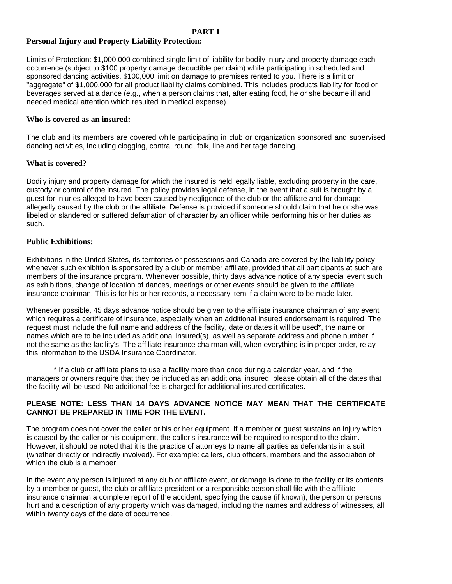## **PART 1**

# **Personal Injury and Property Liability Protection:**

Limits of Protection: \$1,000,000 combined single limit of liability for bodily injury and property damage each occurrence (subject to \$100 property damage deductible per claim) while participating in scheduled and sponsored dancing activities. \$100,000 limit on damage to premises rented to you. There is a limit or "aggregate" of \$1,000,000 for all product liability claims combined. This includes products liability for food or beverages served at a dance (e.g., when a person claims that, after eating food, he or she became ill and needed medical attention which resulted in medical expense).

#### **Who is covered as an insured:**

The club and its members are covered while participating in club or organization sponsored and supervised dancing activities, including clogging, contra, round, folk, line and heritage dancing.

## **What is covered?**

Bodily injury and property damage for which the insured is held legally liable, excluding property in the care, custody or control of the insured. The policy provides legal defense, in the event that a suit is brought by a guest for injuries alleged to have been caused by negligence of the club or the affiliate and for damage allegedly caused by the club or the affiliate. Defense is provided if someone should claim that he or she was libeled or slandered or suffered defamation of character by an officer while performing his or her duties as such.

## **Public Exhibitions:**

Exhibitions in the United States, its territories or possessions and Canada are covered by the liability policy whenever such exhibition is sponsored by a club or member affiliate, provided that all participants at such are members of the insurance program. Whenever possible, thirty days advance notice of any special event such as exhibitions, change of location of dances, meetings or other events should be given to the affiliate insurance chairman. This is for his or her records, a necessary item if a claim were to be made later.

Whenever possible, 45 days advance notice should be given to the affiliate insurance chairman of any event which requires a certificate of insurance, especially when an additional insured endorsement is required. The request must include the full name and address of the facility, date or dates it will be used\*, the name or names which are to be included as additional insured(s), as well as separate address and phone number if not the same as the facility's. The affiliate insurance chairman will, when everything is in proper order, relay this information to the USDA Insurance Coordinator.

\* If a club or affiliate plans to use a facility more than once during a calendar year, and if the managers or owners require that they be included as an additional insured, please obtain all of the dates that the facility will be used. No additional fee is charged for additional insured certificates.

## **PLEASE NOTE: LESS THAN 14 DAYS ADVANCE NOTICE MAY MEAN THAT THE CERTIFICATE CANNOT BE PREPARED IN TIME FOR THE EVENT.**

The program does not cover the caller or his or her equipment. If a member or guest sustains an injury which is caused by the caller or his equipment, the caller's insurance will be required to respond to the claim. However, it should be noted that it is the practice of attorneys to name all parties as defendants in a suit (whether directly or indirectly involved). For example: callers, club officers, members and the association of which the club is a member.

In the event any person is injured at any club or affiliate event, or damage is done to the facility or its contents by a member or guest, the club or affiliate president or a responsible person shall file with the affiliate insurance chairman a complete report of the accident, specifying the cause (if known), the person or persons hurt and a description of any property which was damaged, including the names and address of witnesses, all within twenty days of the date of occurrence.